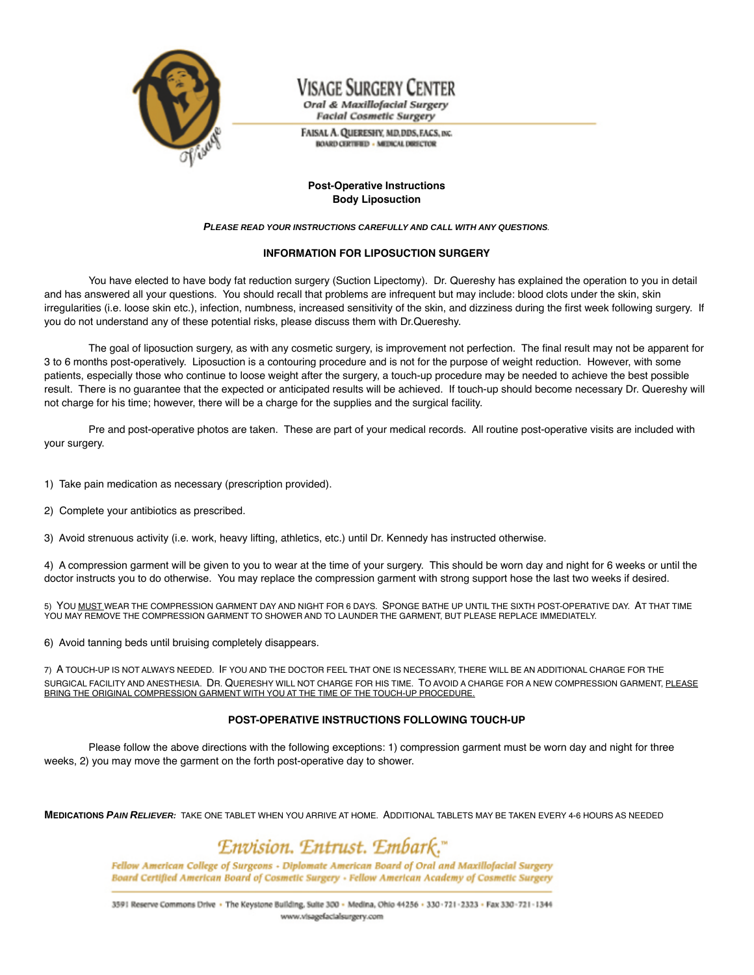

# Visage Surgery Center

Oral & Maxillofacial Surgery **Facial Cosmetic Surgery** 

FAISAL A. QUERESHY, MD, DDS, FACS, INC. **BOARD CERTIFIED - MEDICAL DIRECTOR** 

### **Post-Operative Instructions Body Liposuction**

#### **PLEASE READ YOUR INSTRUCTIONS CAREFULLY AND CALL WITH ANY QUESTIONS**.

### **INFORMATION FOR LIPOSUCTION SURGERY**

You have elected to have body fat reduction surgery (Suction Lipectomy). Dr. Quereshy has explained the operation to you in detail and has answered all your questions. You should recall that problems are infrequent but may include: blood clots under the skin, skin irregularities (i.e. loose skin etc.), infection, numbness, increased sensitivity of the skin, and dizziness during the first week following surgery. If you do not understand any of these potential risks, please discuss them with Dr.Quereshy.

The goal of liposuction surgery, as with any cosmetic surgery, is improvement not perfection. The final result may not be apparent for 3 to 6 months post-operatively. Liposuction is a contouring procedure and is not for the purpose of weight reduction. However, with some patients, especially those who continue to loose weight after the surgery, a touch-up procedure may be needed to achieve the best possible result. There is no guarantee that the expected or anticipated results will be achieved. If touch-up should become necessary Dr. Quereshy will not charge for his time; however, there will be a charge for the supplies and the surgical facility.

Pre and post-operative photos are taken. These are part of your medical records. All routine post-operative visits are included with your surgery.

1) Take pain medication as necessary (prescription provided).

2) Complete your antibiotics as prescribed.

3) Avoid strenuous activity (i.e. work, heavy lifting, athletics, etc.) until Dr. Kennedy has instructed otherwise.

4) A compression garment will be given to you to wear at the time of your surgery. This should be worn day and night for 6 weeks or until the doctor instructs you to do otherwise. You may replace the compression garment with strong support hose the last two weeks if desired.

5) YOU MUST WEAR THE COMPRESSION GARMENT DAY AND NIGHT FOR 6 DAYS. SPONGE BATHE UP UNTIL THE SIXTH POST-OPERATIVE DAY. AT THAT TIME YOU MAY REMOVE THE COMPRESSION GARMENT TO SHOWER AND TO LAUNDER THE GARMENT, BUT PLEASE REPLACE IMMEDIATELY.

6) Avoid tanning beds until bruising completely disappears.

7) A TOUCH-UP IS NOT ALWAYS NEEDED. IF YOU AND THE DOCTOR FEEL THAT ONE IS NECESSARY, THERE WILL BE AN ADDITIONAL CHARGE FOR THE SURGICAL FACILITY AND ANESTHESIA. DR. QUERESHY WILL NOT CHARGE FOR HIS TIME. TO AVOID A CHARGE FOR A NEW COMPRESSION GARMENT, PLEASE BRING THE ORIGINAL COMPRESSION GARMENT WITH YOU AT THE TIME OF THE TOUCH-UP PROCEDURE.

### **POST-OPERATIVE INSTRUCTIONS FOLLOWING TOUCH-UP**

Please follow the above directions with the following exceptions: 1) compression garment must be worn day and night for three weeks, 2) you may move the garment on the forth post-operative day to shower.

**MEDICATIONS PAIN RELIEVER:** TAKE ONE TABLET WHEN YOU ARRIVE AT HOME. ADDITIONAL TABLETS MAY BE TAKEN EVERY 4-6 HOURS AS NEEDED

## Envision. Entrust. Embark."

Fellow American College of Surgeons - Diplomate American Board of Oral and Maxillofacial Surgery Board Certified American Board of Cosmetic Surgery - Fellow American Academy of Cosmetic Surgery

3591 Reserve Commons Drive · The Keystone Building, Suite 300 - Medina, Ohio 44256 - 330 - 721 - 2323 - Fax 330 - 721 - 1344 www.visagefacialsurgery.com